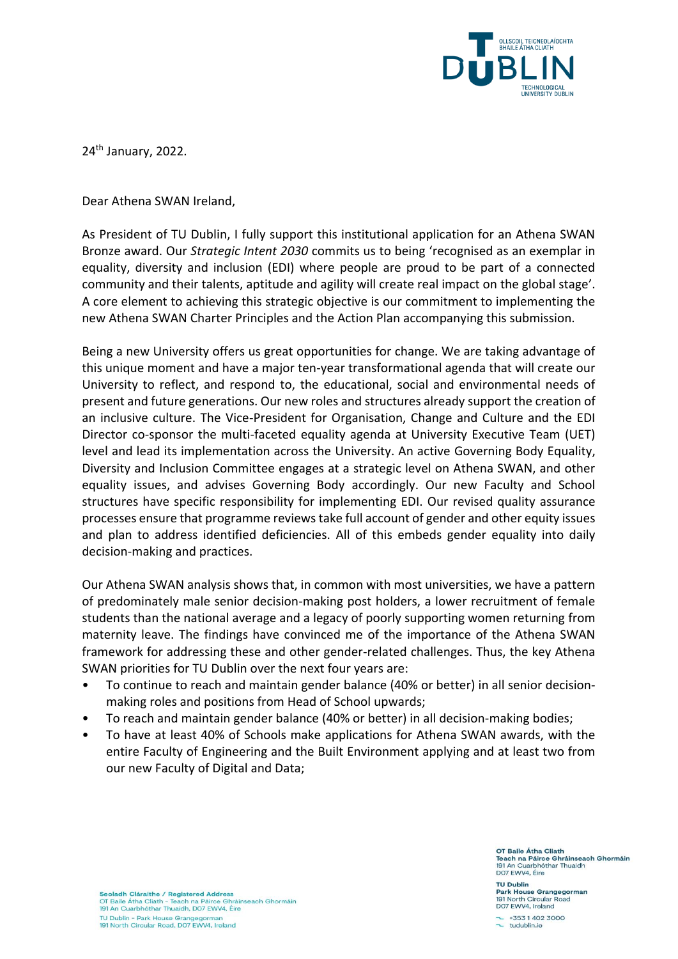

24<sup>th</sup> January, 2022.

Dear Athena SWAN Ireland,

As President of TU Dublin, I fully support this institutional application for an Athena SWAN Bronze award. Our *Strategic Intent 2030* commits us to being 'recognised as an exemplar in equality, diversity and inclusion (EDI) where people are proud to be part of a connected community and their talents, aptitude and agility will create real impact on the global stage'. A core element to achieving this strategic objective is our commitment to implementing the new Athena SWAN Charter Principles and the Action Plan accompanying this submission.

Being a new University offers us great opportunities for change. We are taking advantage of this unique moment and have a major ten-year transformational agenda that will create our University to reflect, and respond to, the educational, social and environmental needs of present and future generations. Our new roles and structures already support the creation of an inclusive culture. The Vice-President for Organisation, Change and Culture and the EDI Director co-sponsor the multi-faceted equality agenda at University Executive Team (UET) level and lead its implementation across the University. An active Governing Body Equality, Diversity and Inclusion Committee engages at a strategic level on Athena SWAN, and other equality issues, and advises Governing Body accordingly. Our new Faculty and School structures have specific responsibility for implementing EDI. Our revised quality assurance processes ensure that programme reviews take full account of gender and other equity issues and plan to address identified deficiencies. All of this embeds gender equality into daily decision-making and practices.

Our Athena SWAN analysis shows that, in common with most universities, we have a pattern of predominately male senior decision-making post holders, a lower recruitment of female students than the national average and a legacy of poorly supporting women returning from maternity leave. The findings have convinced me of the importance of the Athena SWAN framework for addressing these and other gender-related challenges. Thus, the key Athena SWAN priorities for TU Dublin over the next four years are:

- To continue to reach and maintain gender balance (40% or better) in all senior decisionmaking roles and positions from Head of School upwards;
- To reach and maintain gender balance (40% or better) in all decision-making bodies;
- To have at least 40% of Schools make applications for Athena SWAN awards, with the entire Faculty of Engineering and the Built Environment applying and at least two from our new Faculty of Digital and Data;

OT Baile Átha Cliath **Stach na Páirce Ghráinseach Ghormáin<br>191 An Cuarbhóthar Thuaidh<br>DO7 EWV4, Éire** 

**TU Dublin** ark House Grangegorman 191 North Circular Road DO7 EWV4, Ireland